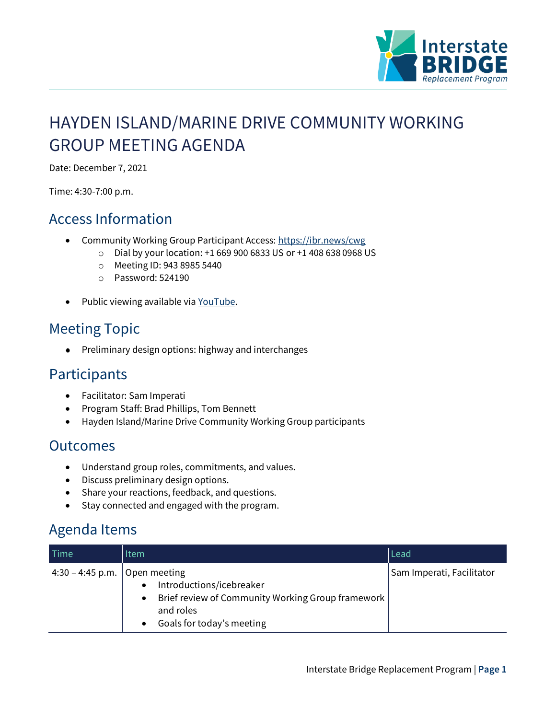

# HAYDEN ISLAND/MARINE DRIVE COMMUNITY WORKING GROUP MEETING AGENDA

Date: December 7, 2021

Time: 4:30-7:00 p.m.

#### Access Information

- Community Working Group Participant Access:<https://ibr.news/cwg>
	- o Dial by your location: +1 669 900 6833 US or +1 408 638 0968 US
	- o Meeting ID: 943 8985 5440
	- o Password: 524190
- Public viewing available via [YouTube.](https://www.youtube.com/c/IBRProgram)

## Meeting Topic

 $\bullet$ Preliminary design options: highway and interchanges

#### **Participants**

- Facilitator: Sam Imperati
- Program Staff: Brad Phillips, Tom Bennett
- Hayden Island/Marine Drive Community Working Group participants

#### **Outcomes**

- Understand group roles, commitments, and values.
- Discuss preliminary design options.
- Share your reactions, feedback, and questions.
- Stay connected and engaged with the program.

### Agenda Items

| <b>Time</b>                     | Item                                                                                                                                                             | Lead                      |
|---------------------------------|------------------------------------------------------------------------------------------------------------------------------------------------------------------|---------------------------|
| 4:30 – 4:45 p.m.   Open meeting | Introductions/icebreaker<br>$\bullet$<br>Brief review of Community Working Group framework  <br>$\bullet$<br>and roles<br>Goals for today's meeting<br>$\bullet$ | Sam Imperati, Facilitator |